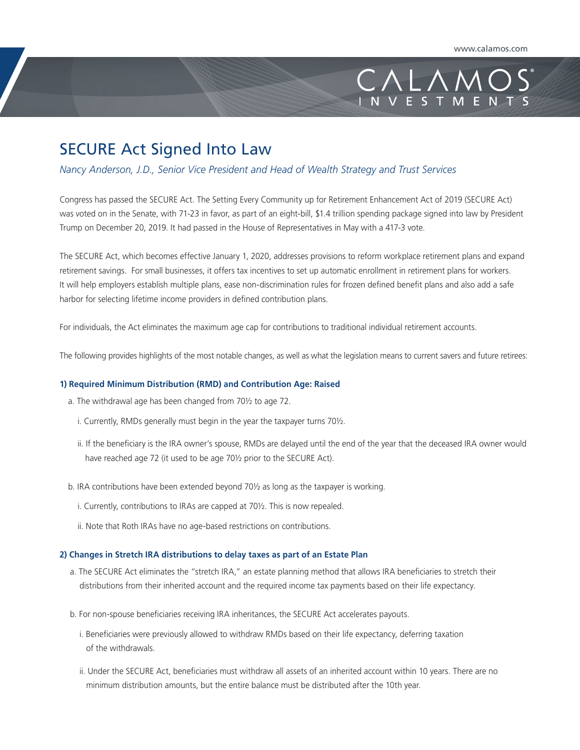# $+\wedge\wedge$ **VESTMEN**

## SECURE Act Signed Into Law

### *Nancy Anderson, J.D., Senior Vice President and Head of Wealth Strategy and Trust Services*

Congress has passed the SECURE Act. The Setting Every Community up for Retirement Enhancement Act of 2019 (SECURE Act) was voted on in the Senate, with 71-23 in favor, as part of an eight-bill, \$1.4 trillion spending package signed into law by President Trump on December 20, 2019. It had passed in the House of Representatives in May with a 417-3 vote.

The SECURE Act, which becomes effective January 1, 2020, addresses provisions to reform workplace retirement plans and expand retirement savings. For small businesses, it offers tax incentives to set up automatic enrollment in retirement plans for workers. It will help employers establish multiple plans, ease non-discrimination rules for frozen defined benefit plans and also add a safe harbor for selecting lifetime income providers in defined contribution plans.

For individuals, the Act eliminates the maximum age cap for contributions to traditional individual retirement accounts.

The following provides highlights of the most notable changes, as well as what the legislation means to current savers and future retirees:

#### **1) Required Minimum Distribution (RMD) and Contribution Age: Raised**

- a. The withdrawal age has been changed from 70½ to age 72.
	- i. Currently, RMDs generally must begin in the year the taxpayer turns 70½.
	- ii. If the beneficiary is the IRA owner's spouse, RMDs are delayed until the end of the year that the deceased IRA owner would have reached age 72 (it used to be age 70½ prior to the SECURE Act).
- b. IRA contributions have been extended beyond 70½ as long as the taxpayer is working.
	- i. Currently, contributions to IRAs are capped at 70½. This is now repealed.
	- ii. Note that Roth IRAs have no age-based restrictions on contributions.

#### **2) Changes in Stretch IRA distributions to delay taxes as part of an Estate Plan**

- a. The SECURE Act eliminates the "stretch IRA," an estate planning method that allows IRA beneficiaries to stretch their distributions from their inherited account and the required income tax payments based on their life expectancy.
- b. For non-spouse beneficiaries receiving IRA inheritances, the SECURE Act accelerates payouts.
	- i. Beneficiaries were previously allowed to withdraw RMDs based on their life expectancy, deferring taxation of the withdrawals.
	- ii. Under the SECURE Act, beneficiaries must withdraw all assets of an inherited account within 10 years. There are no minimum distribution amounts, but the entire balance must be distributed after the 10th year.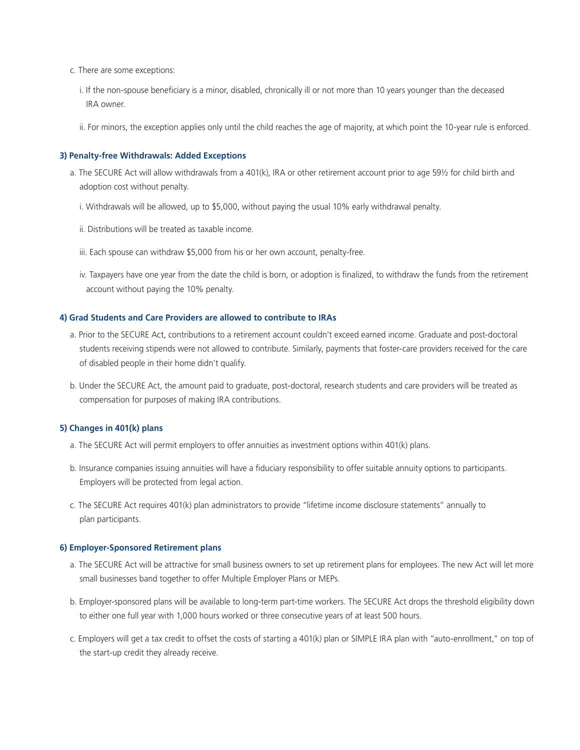- c. There are some exceptions:
	- i. If the non-spouse beneficiary is a minor, disabled, chronically ill or not more than 10 years younger than the deceased IRA owner.
	- ii. For minors, the exception applies only until the child reaches the age of majority, at which point the 10-year rule is enforced.

#### **3) Penalty-free Withdrawals: Added Exceptions**

- a. The SECURE Act will allow withdrawals from a 401(k), IRA or other retirement account prior to age 59½ for child birth and adoption cost without penalty.
	- i. Withdrawals will be allowed, up to \$5,000, without paying the usual 10% early withdrawal penalty.
	- ii. Distributions will be treated as taxable income.
	- iii. Each spouse can withdraw \$5,000 from his or her own account, penalty-free.
	- iv. Taxpayers have one year from the date the child is born, or adoption is finalized, to withdraw the funds from the retirement account without paying the 10% penalty.

#### **4) Grad Students and Care Providers are allowed to contribute to IRAs**

- a. Prior to the SECURE Act, contributions to a retirement account couldn't exceed earned income. Graduate and post-doctoral students receiving stipends were not allowed to contribute. Similarly, payments that foster-care providers received for the care of disabled people in their home didn't qualify.
- b. Under the SECURE Act, the amount paid to graduate, post-doctoral, research students and care providers will be treated as compensation for purposes of making IRA contributions.

#### **5) Changes in 401(k) plans**

- a. The SECURE Act will permit employers to offer annuities as investment options within 401(k) plans.
- b. Insurance companies issuing annuities will have a fiduciary responsibility to offer suitable annuity options to participants. Employers will be protected from legal action.
- c. The SECURE Act requires 401(k) plan administrators to provide "lifetime income disclosure statements" annually to plan participants.

#### **6) Employer-Sponsored Retirement plans**

- a. The SECURE Act will be attractive for small business owners to set up retirement plans for employees. The new Act will let more small businesses band together to offer Multiple Employer Plans or MEPs.
- b. Employer-sponsored plans will be available to long-term part-time workers. The SECURE Act drops the threshold eligibility down to either one full year with 1,000 hours worked or three consecutive years of at least 500 hours.
- c. Employers will get a tax credit to offset the costs of starting a 401(k) plan or SIMPLE IRA plan with "auto-enrollment," on top of the start-up credit they already receive.